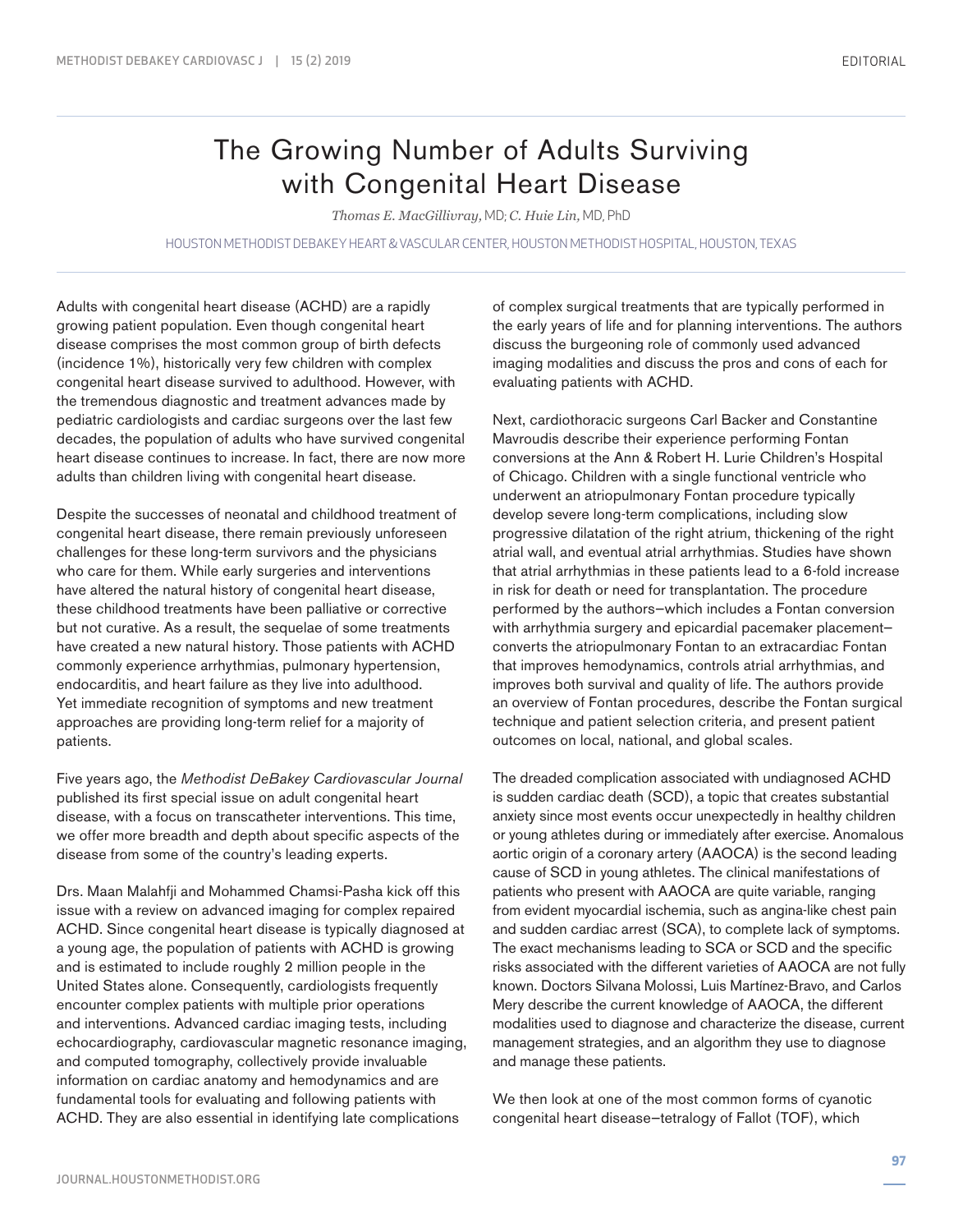## The Growing Number of Adults Surviving with Congenital Heart Disease

*Thomas E. MacGillivray,* MD; *C. Huie Lin,* MD, PhD

HOUSTON METHODIST DEBAKEY HEART & VASCULAR CENTER, HOUSTON METHODIST HOSPITAL, HOUSTON, TEXAS

Adults with congenital heart disease (ACHD) are a rapidly growing patient population. Even though congenital heart disease comprises the most common group of birth defects (incidence 1%), historically very few children with complex congenital heart disease survived to adulthood. However, with the tremendous diagnostic and treatment advances made by pediatric cardiologists and cardiac surgeons over the last few decades, the population of adults who have survived congenital heart disease continues to increase. In fact, there are now more adults than children living with congenital heart disease.

Despite the successes of neonatal and childhood treatment of congenital heart disease, there remain previously unforeseen challenges for these long-term survivors and the physicians who care for them. While early surgeries and interventions have altered the natural history of congenital heart disease, these childhood treatments have been palliative or corrective but not curative. As a result, the sequelae of some treatments have created a new natural history. Those patients with ACHD commonly experience arrhythmias, pulmonary hypertension, endocarditis, and heart failure as they live into adulthood. Yet immediate recognition of symptoms and new treatment approaches are providing long-term relief for a majority of patients.

Five years ago, the *Methodist DeBakey Cardiovascular Journal* published its first special issue on adult congenital heart disease, with a focus on transcatheter interventions. This time, we offer more breadth and depth about specific aspects of the disease from some of the country's leading experts.

Drs. Maan Malahfji and Mohammed Chamsi-Pasha kick off this issue with a review on advanced imaging for complex repaired ACHD. Since congenital heart disease is typically diagnosed at a young age, the population of patients with ACHD is growing and is estimated to include roughly 2 million people in the United States alone. Consequently, cardiologists frequently encounter complex patients with multiple prior operations and interventions. Advanced cardiac imaging tests, including echocardiography, cardiovascular magnetic resonance imaging, and computed tomography, collectively provide invaluable information on cardiac anatomy and hemodynamics and are fundamental tools for evaluating and following patients with ACHD. They are also essential in identifying late complications

of complex surgical treatments that are typically performed in the early years of life and for planning interventions. The authors discuss the burgeoning role of commonly used advanced imaging modalities and discuss the pros and cons of each for evaluating patients with ACHD.

Next, cardiothoracic surgeons Carl Backer and Constantine Mavroudis describe their experience performing Fontan conversions at the Ann & Robert H. Lurie Children's Hospital of Chicago. Children with a single functional ventricle who underwent an atriopulmonary Fontan procedure typically develop severe long-term complications, including slow progressive dilatation of the right atrium, thickening of the right atrial wall, and eventual atrial arrhythmias. Studies have shown that atrial arrhythmias in these patients lead to a 6-fold increase in risk for death or need for transplantation. The procedure performed by the authors—which includes a Fontan conversion with arrhythmia surgery and epicardial pacemaker placement converts the atriopulmonary Fontan to an extracardiac Fontan that improves hemodynamics, controls atrial arrhythmias, and improves both survival and quality of life. The authors provide an overview of Fontan procedures, describe the Fontan surgical technique and patient selection criteria, and present patient outcomes on local, national, and global scales.

The dreaded complication associated with undiagnosed ACHD is sudden cardiac death (SCD), a topic that creates substantial anxiety since most events occur unexpectedly in healthy children or young athletes during or immediately after exercise. Anomalous aortic origin of a coronary artery (AAOCA) is the second leading cause of SCD in young athletes. The clinical manifestations of patients who present with AAOCA are quite variable, ranging from evident myocardial ischemia, such as angina-like chest pain and sudden cardiac arrest (SCA), to complete lack of symptoms. The exact mechanisms leading to SCA or SCD and the specific risks associated with the different varieties of AAOCA are not fully known. Doctors Silvana Molossi, Luis Martínez-Bravo, and Carlos Mery describe the current knowledge of AAOCA, the different modalities used to diagnose and characterize the disease, current management strategies, and an algorithm they use to diagnose and manage these patients.

We then look at one of the most common forms of cyanotic congenital heart disease—tetralogy of Fallot (TOF), which